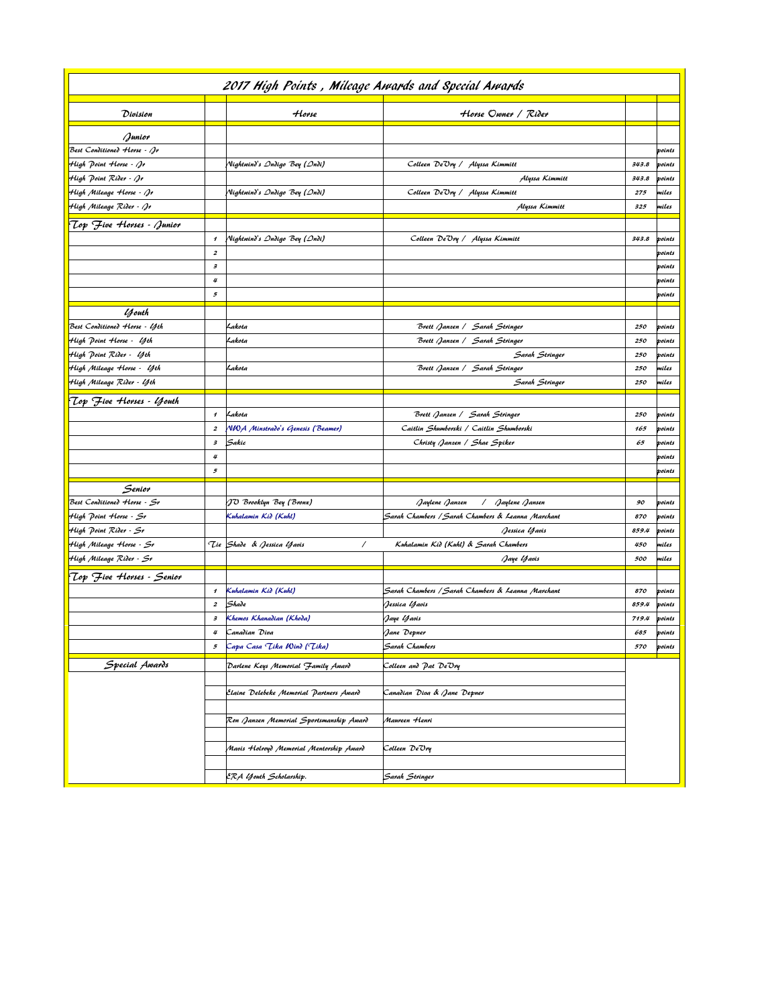| 2017 High Points, Mileage Amards and Special Amards |                      |                                          |                                                   |       |        |  |
|-----------------------------------------------------|----------------------|------------------------------------------|---------------------------------------------------|-------|--------|--|
| Division                                            |                      | Horse                                    | Horse Owner / Rider                               |       |        |  |
| Junior                                              |                      |                                          |                                                   |       |        |  |
| Best Conditioned Horse - Jr                         |                      |                                          |                                                   |       | points |  |
| High Point Horse - Jr                               |                      | Nightwind's Ondigo Bey (Ondi)            | Colleen De"Ory / Alyssa Kimmitt                   | 343.8 | points |  |
| High Point Rider - Jr                               |                      |                                          | Alyssa Kimmitt                                    | 343.8 | points |  |
| High Mileage Horse - ()r                            |                      | Nightwind's Ondigo Bey (Ondi)            | Colleen De'Ory / Alyssa Kimmitt                   | 275   | miles  |  |
| High Mileage Rider - ()r                            |                      |                                          | Alyssa Kimmitt                                    | 325   | miles  |  |
| (Lop "Five Horses - Junior                          |                      |                                          |                                                   |       |        |  |
|                                                     | $\pmb{\mathcal{I}}$  | Nightwind's Ondigo Bey (Ondi)            | Colleen De"Ory / Alyssa Kimmitt                   | 343.8 | points |  |
|                                                     | $\boldsymbol{z}$     |                                          |                                                   |       | points |  |
|                                                     | $\boldsymbol{\beta}$ |                                          |                                                   |       | points |  |
|                                                     | 4                    |                                          |                                                   |       | points |  |
|                                                     | 5                    |                                          |                                                   |       | points |  |
| <i>y</i> outh                                       |                      |                                          |                                                   |       |        |  |
| Best Conditioned Horse - <i>U</i> th                |                      | Lakota                                   | Brett Janzen / Sarah Stringer                     | 250   | points |  |
| High Point Horse - <i>U</i> th                      |                      | Lakota                                   | Brett Janzen /   Sarah Stringer                   | 250   | points |  |
| High Point Rider - <i>U</i> th                      |                      |                                          | Sarah Stringer                                    | 250   | points |  |
| High Mileage Horse - Yth                            |                      | Lakota                                   | Brett Janzen /   Sarah Stringer                   | 250   | miles  |  |
| High Mileage Rider - <i>U</i> th                    |                      |                                          | Sarah Stringer                                    | 250   | miles  |  |
| "Lop "Five Horses - <i>U</i> jouth                  |                      |                                          |                                                   |       |        |  |
|                                                     | $\pmb{\mathcal{I}}$  | Lakota                                   | Brett Janzen / Sarah Stringer                     | 250   | points |  |
|                                                     | $\pmb{2}$            | NWA Minstrado's Genesis (Beamer)         | Caitlin Shumborski / Caitlin Shumborski           | 165   | points |  |
|                                                     | з                    | Sakic                                    | Christy Janzen / Shae Spiker                      | 65    | points |  |
|                                                     | 4                    |                                          |                                                   |       | points |  |
|                                                     | 5                    |                                          |                                                   |       | points |  |
| Senior                                              |                      |                                          |                                                   |       |        |  |
| Best Conditioned Horse - Sr                         |                      | JO Brooklyn Bey (Bronz)                  | Jaylene Jansen<br>Jaylene Janzen<br>$\sqrt{2}$    | 90    | points |  |
| High Point Horse - Sr                               |                      | Kuhalamin Kid (Kuhl)                     | Sarah Chambers / Sarah Chambers & Leanna Marchant | 870   | points |  |
| High Point Rider - Sr                               |                      |                                          | Jessica Yavis                                     | 859.4 | points |  |
| High Mileage Horse - Sr                             |                      | Tie Shade & Jessica Yavis<br>Γ           | Kuhalamin Kid (Kuhl) & Sarah Chambers             | 450   | miles  |  |
| High Mileage Rider - Sr                             |                      |                                          | Jaye Yavis                                        | 500   | miles  |  |
| (Lop "Five Horses - Senior                          |                      |                                          |                                                   |       |        |  |
|                                                     | $\pmb{\mathcal{I}}$  | Kuhalamin Kid (Kuhl)                     | Sarah Chambers / Sarah Chambers & Leanna Marchant | 870   | points |  |
|                                                     | $\boldsymbol{z}$     | Shade                                    | Jessica <i>U</i> faois                            | 859.4 | points |  |
|                                                     | з                    | Khemos Khanadian (Khoda)                 | Jaye <i>U</i> favis                               | 719.4 | points |  |
|                                                     | 4                    | Canadian Diva                            | Jane Depner                                       | 685   | points |  |
|                                                     | 5                    | Capa Casa <i>Lika Wind ('Lika)</i>       | Sarah Chambers                                    | 570   | points |  |
| Special Awards                                      |                      | Darlene Keys Memorial Family Award       | Colleen and Pat De"Ory                            |       |        |  |
|                                                     |                      |                                          |                                                   |       |        |  |
|                                                     |                      | Elaine Delebeke Memorial Partners Award  | Canadian Diva & Jane Depner                       |       |        |  |
|                                                     |                      |                                          |                                                   |       |        |  |
|                                                     |                      | (Ron Janzen Memorial Sportsmanship Award | Maureen Henri                                     |       |        |  |
|                                                     |                      |                                          |                                                   |       |        |  |
|                                                     |                      | Mavis Holroyd Memorial Mentorship Award  | Colleen DeOry                                     |       |        |  |
|                                                     |                      |                                          |                                                   |       |        |  |
|                                                     |                      | ERA Youth Scholarship.                   | Sarah Stringer                                    |       |        |  |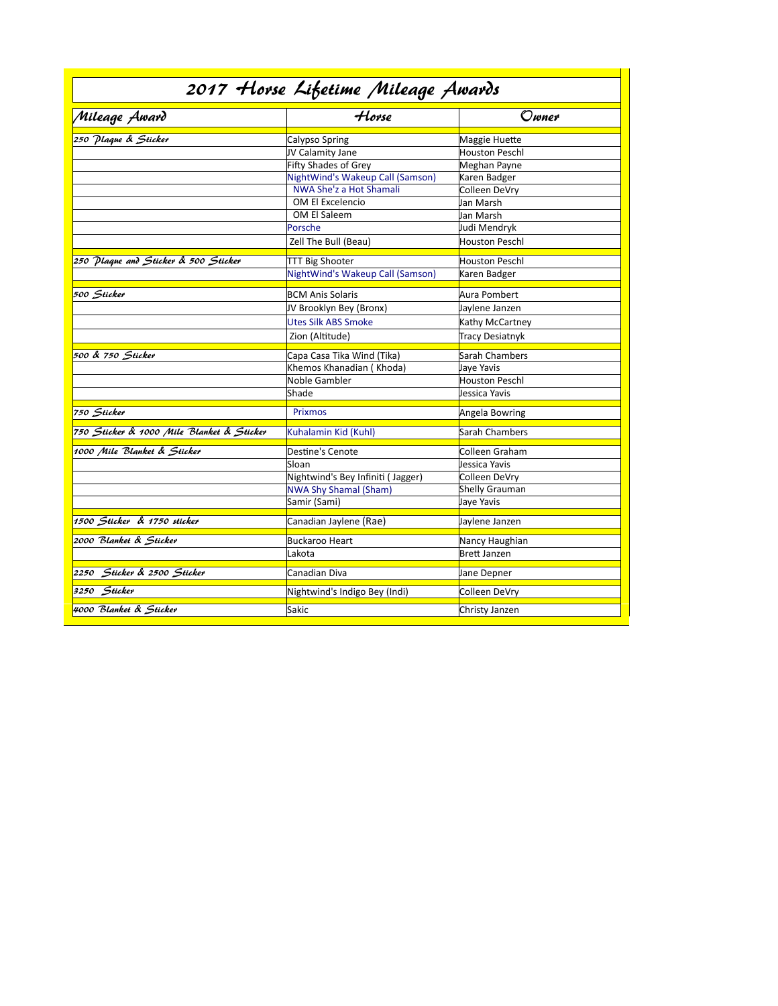| 2017 Horse Lifetime Mileage Awards        |                                   |                       |  |  |  |
|-------------------------------------------|-----------------------------------|-----------------------|--|--|--|
| Mileage Award                             | Horse                             | Owner                 |  |  |  |
| 250 Plaque & Sticker                      | Calypso Spring                    | Maggie Huette         |  |  |  |
|                                           | JV Calamity Jane                  | <b>Houston Peschl</b> |  |  |  |
|                                           | Fifty Shades of Grey              | Meghan Payne          |  |  |  |
|                                           | NightWind's Wakeup Call (Samson)  | Karen Badger          |  |  |  |
|                                           | NWA She'z a Hot Shamali           | Colleen DeVry         |  |  |  |
|                                           | OM El Excelencio                  | Jan Marsh             |  |  |  |
|                                           | OM El Saleem                      | Jan Marsh             |  |  |  |
|                                           | Porsche                           | Judi Mendryk          |  |  |  |
|                                           | Zell The Bull (Beau)              | Houston Peschl        |  |  |  |
| 250 Plaque and Sticker & 500 Sticker      | <b>TTT Big Shooter</b>            | Houston Peschl        |  |  |  |
|                                           | NightWind's Wakeup Call (Samson)  | Karen Badger          |  |  |  |
| 500 Sticker                               |                                   |                       |  |  |  |
|                                           | BCM Anis Solaris                  | Aura Pombert          |  |  |  |
|                                           | JV Brooklyn Bey (Bronx)           | Jaylene Janzen        |  |  |  |
|                                           | <b>Utes Silk ABS Smoke</b>        | Kathy McCartney       |  |  |  |
|                                           | Zion (Altitude)                   | Tracy Desiatnyk       |  |  |  |
| 500 & 750 Sticker                         | Capa Casa Tika Wind (Tika)        | Sarah Chambers        |  |  |  |
|                                           | Khemos Khanadian ( Khoda)         | Jaye Yavis            |  |  |  |
|                                           | Noble Gambler                     | Houston Peschl        |  |  |  |
|                                           | Shade                             | Jessica Yavis         |  |  |  |
| 750 Sticker                               | <b>Prixmos</b>                    | Angela Bowring        |  |  |  |
| 750 Sticker & 1000 Mile Blanket & Sticker | Kuhalamin Kid (Kuhl)              | Sarah Chambers        |  |  |  |
| 1000 Mile Blanket & Sticker               | Destine's Cenote                  | Colleen Graham        |  |  |  |
|                                           | Sloan                             | Jessica Yavis         |  |  |  |
|                                           | Nightwind's Bey Infiniti (Jagger) | Colleen DeVry         |  |  |  |
|                                           | <b>NWA Shy Shamal (Sham)</b>      | Shelly Grauman        |  |  |  |
|                                           | Samir (Sami)                      | Jaye Yavis            |  |  |  |
| 1500 Sticker & 1750 sticker               | Canadian Jaylene (Rae)            | Jaylene Janzen        |  |  |  |
| 2000 Blanket & Sticker                    | <b>Buckaroo Heart</b>             | Nancy Haughian        |  |  |  |
|                                           | Lakota                            | <b>Brett Janzen</b>   |  |  |  |
| 2250 Sticker & 2500 Sticker               | Canadian Diva                     | Jane Depner           |  |  |  |
| 3250 Sticker                              | Nightwind's Indigo Bey (Indi)     | Colleen DeVry         |  |  |  |
| 4000 Blanket & Sticker                    | Sakic                             | Christy Janzen        |  |  |  |
|                                           |                                   |                       |  |  |  |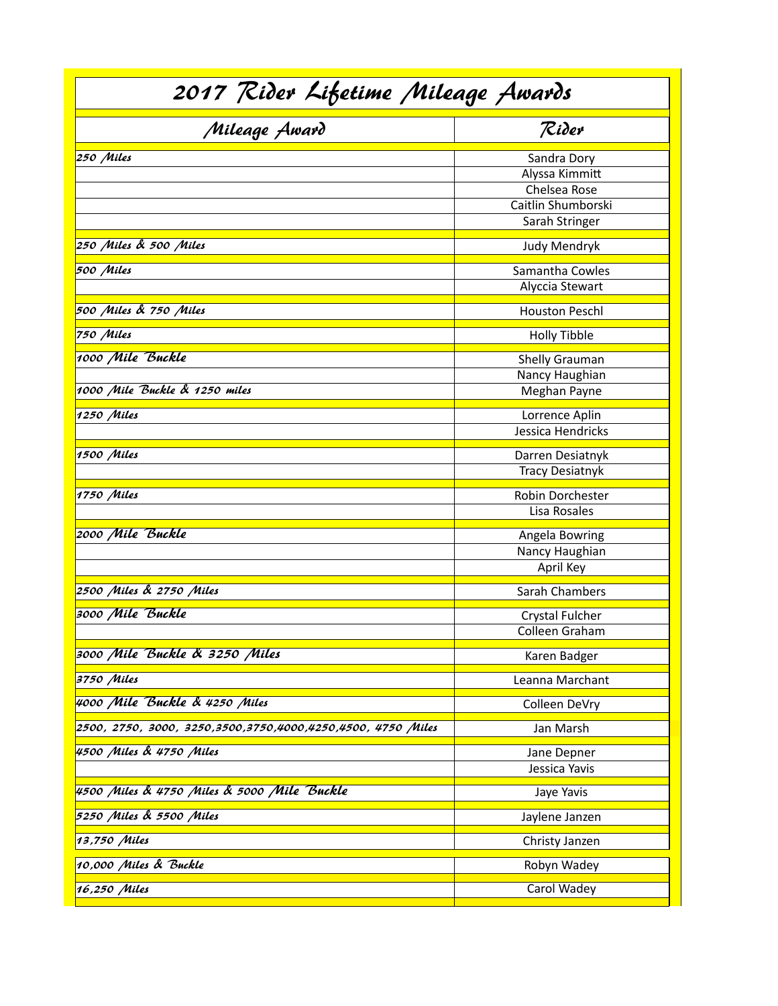| 2017 Rider Lifetime Mileage Awards                              |                                                                                       |  |  |  |
|-----------------------------------------------------------------|---------------------------------------------------------------------------------------|--|--|--|
| Mileage Award                                                   | Rider                                                                                 |  |  |  |
| 250 Miles                                                       | Sandra Dory<br>Alyssa Kimmitt<br>Chelsea Rose<br>Caitlin Shumborski<br>Sarah Stringer |  |  |  |
| 250 Miles & 500 Miles                                           | <b>Judy Mendryk</b>                                                                   |  |  |  |
| 500 Miles                                                       | Samantha Cowles<br>Alyccia Stewart                                                    |  |  |  |
| 500 Miles & 750 Miles                                           | <b>Houston Peschl</b>                                                                 |  |  |  |
| 750 Miles                                                       | <b>Holly Tibble</b>                                                                   |  |  |  |
| 1000 Mile Buckle<br>1000 Mile Buckle & 1250 miles<br>1250 Miles | Shelly Grauman<br>Nancy Haughian<br>Meghan Payne<br>Lorrence Aplin                    |  |  |  |
|                                                                 | Jessica Hendricks                                                                     |  |  |  |
| 1500 Miles                                                      | Darren Desiatnyk<br><b>Tracy Desiatnyk</b>                                            |  |  |  |
| 1750 Miles                                                      | Robin Dorchester<br>Lisa Rosales                                                      |  |  |  |
| 2000 Mile Buckle                                                | Angela Bowring<br>Nancy Haughian<br>April Key                                         |  |  |  |
| 2500 Miles & 2750 Miles                                         | Sarah Chambers                                                                        |  |  |  |
| 3000 Mile Buckle                                                | Crystal Fulcher<br>Colleen Graham                                                     |  |  |  |
| 3000 Mile Buckle & 3250 Miles                                   | Karen Badger                                                                          |  |  |  |
| 3750 Miles                                                      | Leanna Marchant                                                                       |  |  |  |
| 4000 Mile Buckle & 4250 Miles                                   | Colleen DeVry                                                                         |  |  |  |
| 2500, 2750, 3000, 3250,3500,3750,4000,4250,4500, 4750 Miles     | Jan Marsh                                                                             |  |  |  |
| 4500 Miles & 4750 Miles                                         | Jane Depner<br>Jessica Yavis                                                          |  |  |  |
| 4500 Miles & 4750 Miles & 5000 Mile Buckle                      | Jaye Yavis                                                                            |  |  |  |
| 5250 Miles & 5500 Miles                                         | Jaylene Janzen                                                                        |  |  |  |
| 13,750 Miles                                                    | Christy Janzen                                                                        |  |  |  |
| 10,000 Miles & Buckle                                           | Robyn Wadey                                                                           |  |  |  |
| 16,250 Miles                                                    | Carol Wadey                                                                           |  |  |  |